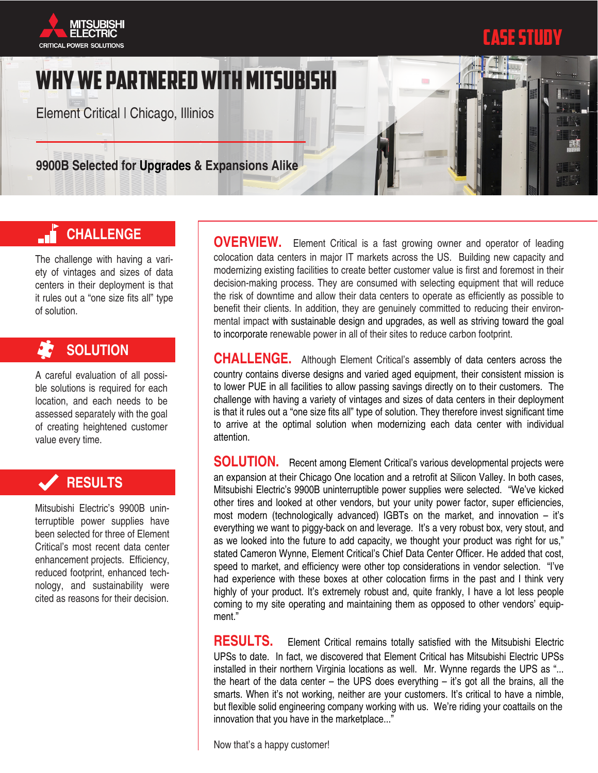



# WHY we PARTNERed WITH MITSUBISHI

Element Critical | Chicago, Illinios

**9900B Selected for Upgrades & Expansions Alike** 

#### **CHALLENGE** d١

The challenge with having a variety of vintages and sizes of data centers in their deployment is that it rules out a "one size fits all" type of solution.

# **SOLUTION**

A careful evaluation of all possible solutions is required for each location, and each needs to be assessed separately with the goal of creating heightened customer value every time.

## **RESULTS**

Mitsubishi Electric's 9900B uninterruptible power supplies have been selected for three of Element Critical's most recent data center enhancement projects. Efficiency, reduced footprint, enhanced technology, and sustainability were cited as reasons for their decision.

**OVERVIEW.** Element Critical is a fast growing owner and operator of leading colocation data centers in major IT markets across the US. Building new capacity and modernizing existing facilities to create better customer value is first and foremost in their decision-making process. They are consumed with selecting equipment that will reduce the risk of downtime and allow their data centers to operate as efficiently as possible to benefit their clients. In addition, they are genuinely committed to reducing their environmental impact with sustainable design and upgrades, as well as striving toward the goal to incorporate renewable power in all of their sites to reduce carbon footprint.

**CHALLENGE.** Although Element Critical's assembly of data centers across the country contains diverse designs and varied aged equipment, their consistent mission is to lower PUE in all facilities to allow passing savings directly on to their customers. The challenge with having a variety of vintages and sizes of data centers in their deployment is that it rules out a "one size fits all" type of solution. They therefore invest significant time to arrive at the optimal solution when modernizing each data center with individual attention.

**SOLUTION.** Recent among Element Critical's various developmental projects were an expansion at their Chicago One location and a retrofit at Silicon Valley. In both cases, Mitsubishi Electric's 9900B uninterruptible power supplies were selected. "We've kicked other tires and looked at other vendors, but your unity power factor, super efficiencies, most modern (technologically advanced) IGBTs on the market, and innovation – it's everything we want to piggy-back on and leverage. It's a very robust box, very stout, and as we looked into the future to add capacity, we thought your product was right for us," stated Cameron Wynne, Element Critical's Chief Data Center Officer. He added that cost, speed to market, and efficiency were other top considerations in vendor selection. "I've had experience with these boxes at other colocation firms in the past and I think very highly of your product. It's extremely robust and, quite frankly, I have a lot less people coming to my site operating and maintaining them as opposed to other vendors' equipment"

**RESULTS.** Element Critical remains totally satisfied with the Mitsubishi Electric UPSs to date. In fact, we discovered that Element Critical has Mitsubishi Electric UPSs installed in their northern Virginia locations as well. Mr. Wynne regards the UPS as "... the heart of the data center – the UPS does everything – it's got all the brains, all the smarts. When it's not working, neither are your customers. It's critical to have a nimble, but flexible solid engineering company working with us. We're riding your coattails on the innovation that you have in the marketplace..."

Now that's a happy customer!